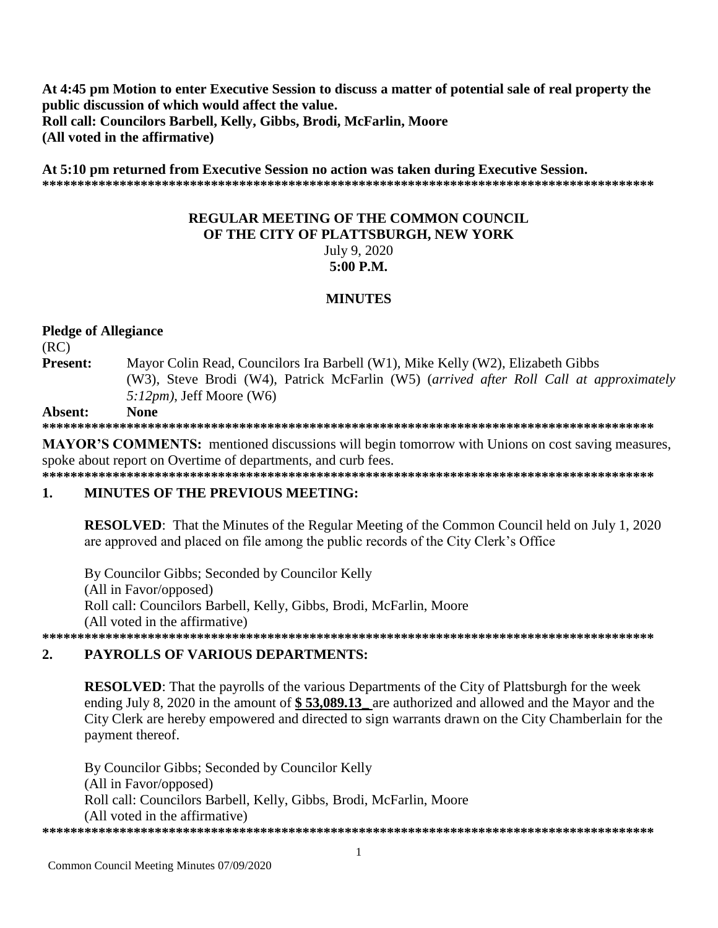At 4:45 pm Motion to enter Executive Session to discuss a matter of potential sale of real property the public discussion of which would affect the value. Roll call: Councilors Barbell, Kelly, Gibbs, Brodi, McFarlin, Moore (All voted in the affirmative)

At 5:10 pm returned from Executive Session no action was taken during Executive Session. 

# **REGULAR MEETING OF THE COMMON COUNCIL** OF THE CITY OF PLATTSBURGH, NEW YORK July 9, 2020  $5:00$  P.M.

### **MINUTES**

### **Pledge of Allegiance**

 $(RC)$ 

Present: Mayor Colin Read, Councilors Ira Barbell (W1), Mike Kelly (W2), Elizabeth Gibbs (W3), Steve Brodi (W4), Patrick McFarlin (W5) (arrived after Roll Call at approximately  $5:12pm$ , Jeff Moore (W6)

#### Absent: **None**

**MAYOR'S COMMENTS:** mentioned discussions will begin tomorrow with Unions on cost saving measures, spoke about report on Overtime of departments, and curb fees.

#### $\mathbf{1}$ . **MINUTES OF THE PREVIOUS MEETING:**

**RESOLVED:** That the Minutes of the Regular Meeting of the Common Council held on July 1, 2020 are approved and placed on file among the public records of the City Clerk's Office

By Councilor Gibbs; Seconded by Councilor Kelly (All in Favor/opposed) Roll call: Councilors Barbell, Kelly, Gibbs, Brodi, McFarlin, Moore (All voted in the affirmative) 

#### $2.$ **PAYROLLS OF VARIOUS DEPARTMENTS:**

**RESOLVED:** That the payrolls of the various Departments of the City of Plattsburgh for the week ending July 8, 2020 in the amount of \$53,089.13 are authorized and allowed and the Mayor and the City Clerk are hereby empowered and directed to sign warrants drawn on the City Chamberlain for the payment thereof.

By Councilor Gibbs; Seconded by Councilor Kelly (All in Favor/opposed) Roll call: Councilors Barbell, Kelly, Gibbs, Brodi, McFarlin, Moore (All voted in the affirmative)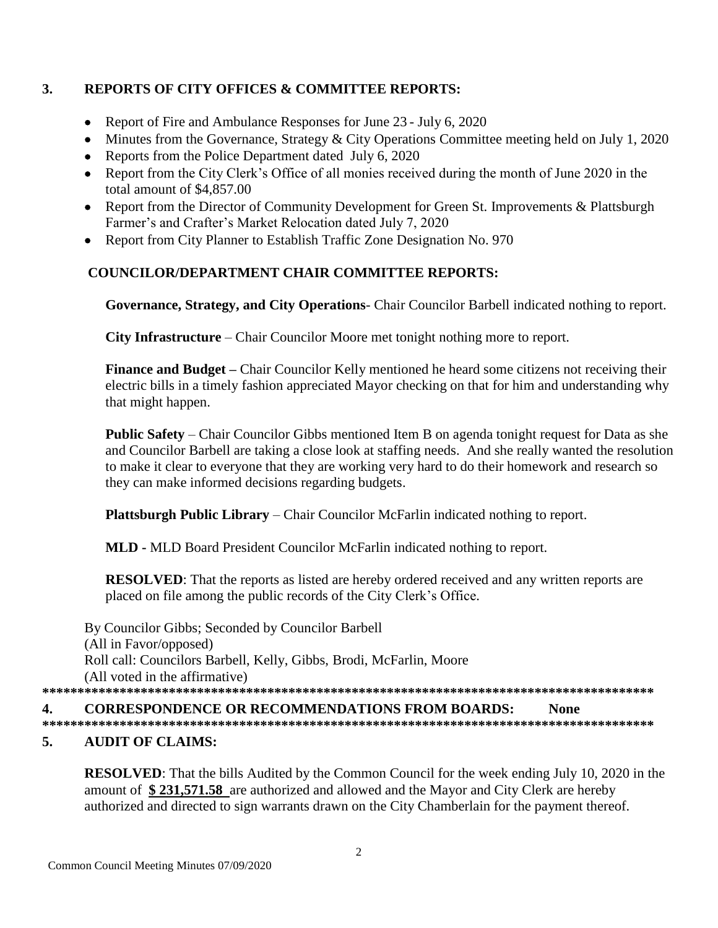# **3. REPORTS OF CITY OFFICES & COMMITTEE REPORTS:**

- Report of Fire and Ambulance Responses for June 23 July 6, 2020
- Minutes from the Governance, Strategy & City Operations Committee meeting held on July 1, 2020
- Reports from the Police Department dated July 6, 2020
- Report from the City Clerk's Office of all monies received during the month of June 2020 in the total amount of \$4,857.00
- Report from the Director of Community Development for Green St. Improvements & Plattsburgh Farmer's and Crafter's Market Relocation dated July 7, 2020
- Report from City Planner to Establish Traffic Zone Designation No. 970

# **COUNCILOR/DEPARTMENT CHAIR COMMITTEE REPORTS:**

**Governance, Strategy, and City Operations**- Chair Councilor Barbell indicated nothing to report.

**City Infrastructure** – Chair Councilor Moore met tonight nothing more to report.

**Finance and Budget –** Chair Councilor Kelly mentioned he heard some citizens not receiving their electric bills in a timely fashion appreciated Mayor checking on that for him and understanding why that might happen.

**Public Safety** – Chair Councilor Gibbs mentioned Item B on agenda tonight request for Data as she and Councilor Barbell are taking a close look at staffing needs. And she really wanted the resolution to make it clear to everyone that they are working very hard to do their homework and research so they can make informed decisions regarding budgets.

**Plattsburgh Public Library** – Chair Councilor McFarlin indicated nothing to report.

**MLD -** MLD Board President Councilor McFarlin indicated nothing to report.

**RESOLVED**: That the reports as listed are hereby ordered received and any written reports are placed on file among the public records of the City Clerk's Office.

By Councilor Gibbs; Seconded by Councilor Barbell (All in Favor/opposed) Roll call: Councilors Barbell, Kelly, Gibbs, Brodi, McFarlin, Moore (All voted in the affirmative) **\*\*\*\*\*\*\*\*\*\*\*\*\*\*\*\*\*\*\*\*\*\*\*\*\*\*\*\*\*\*\*\*\*\*\*\*\*\*\*\*\*\*\*\*\*\*\*\*\*\*\*\*\*\*\*\*\*\*\*\*\*\*\*\*\*\*\*\*\*\*\*\*\*\*\*\*\*\*\*\*\*\*\*\*\*\*\***

## **4. CORRESPONDENCE OR RECOMMENDATIONS FROM BOARDS: None**

**\*\*\*\*\*\*\*\*\*\*\*\*\*\*\*\*\*\*\*\*\*\*\*\*\*\*\*\*\*\*\*\*\*\*\*\*\*\*\*\*\*\*\*\*\*\*\*\*\*\*\*\*\*\*\*\*\*\*\*\*\*\*\*\*\*\*\*\*\*\*\*\*\*\*\*\*\*\*\*\*\*\*\*\*\*\*\***

# **5. AUDIT OF CLAIMS:**

**RESOLVED**: That the bills Audited by the Common Council for the week ending July 10, 2020 in the amount of **\$ 231,571.58** are authorized and allowed and the Mayor and City Clerk are hereby authorized and directed to sign warrants drawn on the City Chamberlain for the payment thereof.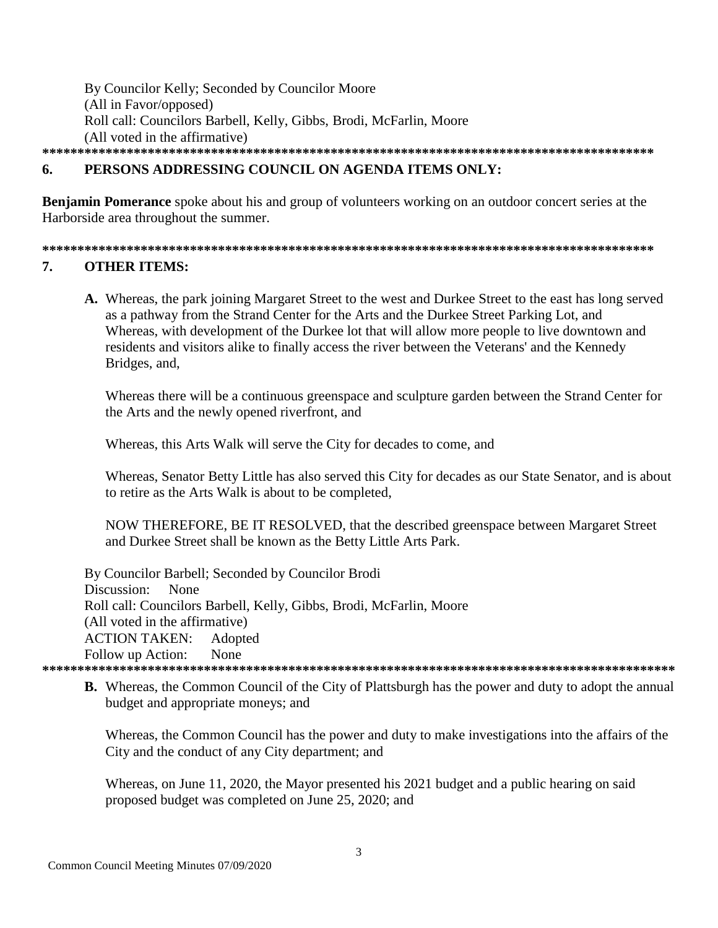By Councilor Kelly; Seconded by Councilor Moore (All in Favor/opposed) Roll call: Councilors Barbell, Kelly, Gibbs, Brodi, McFarlin, Moore (All voted in the affirmative) 

### PERSONS ADDRESSING COUNCIL ON AGENDA ITEMS ONLY: 6.

**Benjamin Pomerance** spoke about his and group of volunteers working on an outdoor concert series at the Harborside area throughout the summer.

#### $7<sub>1</sub>$ **OTHER ITEMS:**

A. Whereas, the park joining Margaret Street to the west and Durkee Street to the east has long served as a pathway from the Strand Center for the Arts and the Durkee Street Parking Lot, and Whereas, with development of the Durkee lot that will allow more people to live downtown and residents and visitors alike to finally access the river between the Veterans' and the Kennedy Bridges, and,

Whereas there will be a continuous greenspace and sculpture garden between the Strand Center for the Arts and the newly opened riverfront, and

Whereas, this Arts Walk will serve the City for decades to come, and

Whereas, Senator Betty Little has also served this City for decades as our State Senator, and is about to retire as the Arts Walk is about to be completed,

NOW THEREFORE, BE IT RESOLVED, that the described greenspace between Margaret Street and Durkee Street shall be known as the Betty Little Arts Park.

By Councilor Barbell; Seconded by Councilor Brodi Discussion: None Roll call: Councilors Barbell, Kelly, Gibbs, Brodi, McFarlin, Moore (All voted in the affirmative) **ACTION TAKEN:** Adopted None Follow up Action: 

**B.** Whereas, the Common Council of the City of Plattsburgh has the power and duty to adopt the annual budget and appropriate moneys; and

Whereas, the Common Council has the power and duty to make investigations into the affairs of the City and the conduct of any City department; and

Whereas, on June 11, 2020, the Mayor presented his 2021 budget and a public hearing on said proposed budget was completed on June 25, 2020; and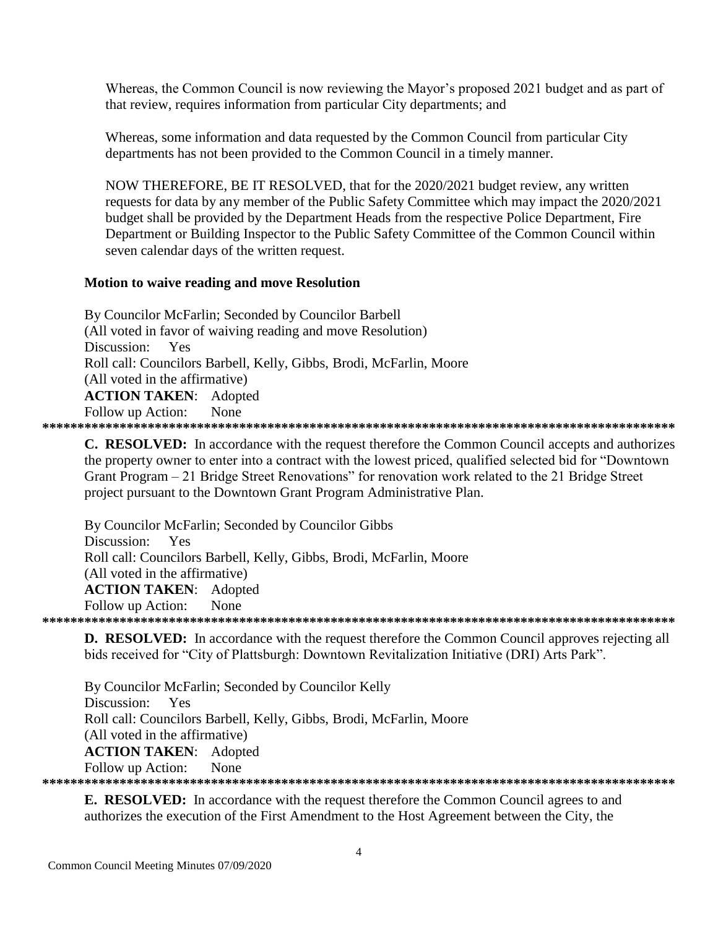Whereas, the Common Council is now reviewing the Mayor's proposed 2021 budget and as part of that review, requires information from particular City departments; and

Whereas, some information and data requested by the Common Council from particular City departments has not been provided to the Common Council in a timely manner.

NOW THEREFORE, BE IT RESOLVED, that for the 2020/2021 budget review, any written requests for data by any member of the Public Safety Committee which may impact the 2020/2021 budget shall be provided by the Department Heads from the respective Police Department, Fire Department or Building Inspector to the Public Safety Committee of the Common Council within seven calendar days of the written request.

## **Motion to waive reading and move Resolution**

By Councilor McFarlin; Seconded by Councilor Barbell (All voted in favor of waiving reading and move Resolution) Discussion: Yes Roll call: Councilors Barbell, Kelly, Gibbs, Brodi, McFarlin, Moore (All voted in the affirmative) **ACTION TAKEN:** Adopted Follow up Action: None 

**C. RESOLVED:** In accordance with the request therefore the Common Council accepts and authorizes the property owner to enter into a contract with the lowest priced, qualified selected bid for "Downtown" Grant Program – 21 Bridge Street Renovations" for renovation work related to the 21 Bridge Street project pursuant to the Downtown Grant Program Administrative Plan.

By Councilor McFarlin; Seconded by Councilor Gibbs Discussion: Yes Roll call: Councilors Barbell, Kelly, Gibbs, Brodi, McFarlin, Moore (All voted in the affirmative) **ACTION TAKEN:** Adopted Follow up Action: None

**D. RESOLVED:** In accordance with the request therefore the Common Council approves rejecting all bids received for "City of Plattsburgh: Downtown Revitalization Initiative (DRI) Arts Park".

By Councilor McFarlin; Seconded by Councilor Kelly Discussion: Yes Roll call: Councilors Barbell, Kelly, Gibbs, Brodi, McFarlin, Moore (All voted in the affirmative) **ACTION TAKEN:** Adopted Follow up Action: None 

**E. RESOLVED:** In accordance with the request therefore the Common Council agrees to and authorizes the execution of the First Amendment to the Host Agreement between the City, the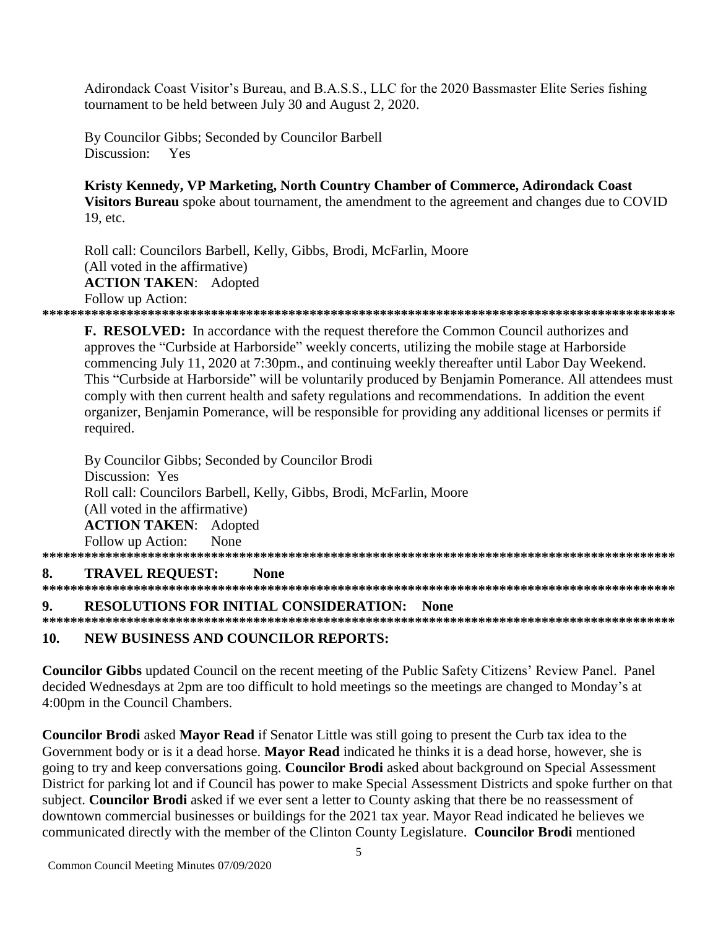Adirondack Coast Visitor's Bureau, and B.A.S.S., LLC for the 2020 Bassmaster Elite Series fishing tournament to be held between July 30 and August 2, 2020.

By Councilor Gibbs: Seconded by Councilor Barbell Discussion: Yes

Kristy Kennedy, VP Marketing, North Country Chamber of Commerce, Adirondack Coast Visitors Bureau spoke about tournament, the amendment to the agreement and changes due to COVID 19. etc.

Roll call: Councilors Barbell, Kelly, Gibbs, Brodi, McFarlin, Moore (All voted in the affirmative) **ACTION TAKEN: Adopted** Follow up Action: 

F. RESOLVED: In accordance with the request therefore the Common Council authorizes and approves the "Curbside at Harborside" weekly concerts, utilizing the mobile stage at Harborside commencing July 11, 2020 at 7:30pm., and continuing weekly thereafter until Labor Day Weekend. This "Curbside at Harborside" will be voluntarily produced by Benjamin Pomerance. All attendees must comply with then current health and safety regulations and recommendations. In addition the event organizer, Benjamin Pomerance, will be responsible for providing any additional licenses or permits if required.

By Councilor Gibbs; Seconded by Councilor Brodi Discussion: Yes Roll call: Councilors Barbell, Kelly, Gibbs, Brodi, McFarlin, Moore (All voted in the affirmative) **ACTION TAKEN: Adopted** Follow up Action: None 8. **TRAVEL REQUEST: None** 9. **RESOLUTIONS FOR INITIAL CONSIDERATION: None** 

#### **NEW BUSINESS AND COUNCILOR REPORTS:** 10.

**Councilor Gibbs** updated Council on the recent meeting of the Public Safety Citizens' Review Panel. Panel decided Wednesdays at 2pm are too difficult to hold meetings so the meetings are changed to Monday's at 4:00pm in the Council Chambers.

**Councilor Brodi** asked **Mayor Read** if Senator Little was still going to present the Curb tax idea to the Government body or is it a dead horse. Mayor Read indicated he thinks it is a dead horse, however, she is going to try and keep conversations going. Councilor Brodi asked about background on Special Assessment District for parking lot and if Council has power to make Special Assessment Districts and spoke further on that subject. Councilor Brodi asked if we ever sent a letter to County asking that there be no reassessment of downtown commercial businesses or buildings for the 2021 tax year. Mayor Read indicated he believes we communicated directly with the member of the Clinton County Legislature. Councilor Brodi mentioned